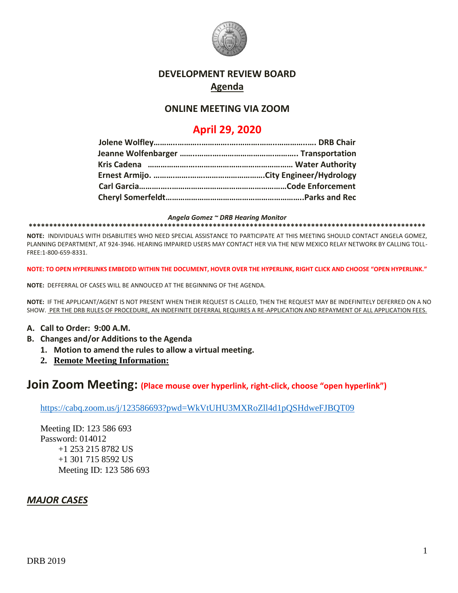

## **DEVELOPMENT REVIEW BOARD Agenda**

## **ONLINE MEETING VIA ZOOM**

# **April 29, 2020**

*Angela Gomez ~ DRB Hearing Monitor*

**\*\*\*\*\*\*\*\*\*\*\*\*\*\*\*\*\*\*\*\*\*\*\*\*\*\*\*\*\*\*\*\*\*\*\*\*\*\*\*\*\*\*\*\*\*\*\*\*\*\*\*\*\*\*\*\*\*\*\*\*\*\*\*\*\*\*\*\*\*\*\*\*\*\*\*\*\*\*\*\*\*\*\*\*\*\*\*\*\*\*\*\*\*\*\*\*\***

**NOTE:** INDIVIDUALS WITH DISABILITIES WHO NEED SPECIAL ASSISTANCE TO PARTICIPATE AT THIS MEETING SHOULD CONTACT ANGELA GOMEZ, PLANNING DEPARTMENT, AT 924-3946. HEARING IMPAIRED USERS MAY CONTACT HER VIA THE NEW MEXICO RELAY NETWORK BY CALLING TOLL-FREE:1-800-659-8331.

**NOTE: TO OPEN HYPERLINKS EMBEDED WITHIN THE DOCUMENT, HOVER OVER THE HYPERLINK, RIGHT CLICK AND CHOOSE "OPEN HYPERLINK."**

**NOTE:** DEFFERRAL OF CASES WILL BE ANNOUCED AT THE BEGINNING OF THE AGENDA.

**NOTE:** IF THE APPLICANT/AGENT IS NOT PRESENT WHEN THEIR REQUEST IS CALLED, THEN THE REQUEST MAY BE INDEFINITELY DEFERRED ON A NO SHOW. PER THE DRB RULES OF PROCEDURE, AN INDEFINITE DEFERRAL REQUIRES A RE-APPLICATION AND REPAYMENT OF ALL APPLICATION FEES.

#### **A. Call to Order: 9:00 A.M.**

- **B. Changes and/or Additions to the Agenda**
	- **1. Motion to amend the rules to allow a virtual meeting.**
	- **2. Remote Meeting Information:**

## **Join Zoom Meeting: (Place mouse over hyperlink, right-click, choose "open hyperlink")**

<https://cabq.zoom.us/j/123586693?pwd=WkVtUHU3MXRoZll4d1pQSHdweFJBQT09>

Meeting ID: 123 586 693 Password: 014012 +1 253 215 8782 US +1 301 715 8592 US Meeting ID: 123 586 693

### *MAJOR CASES*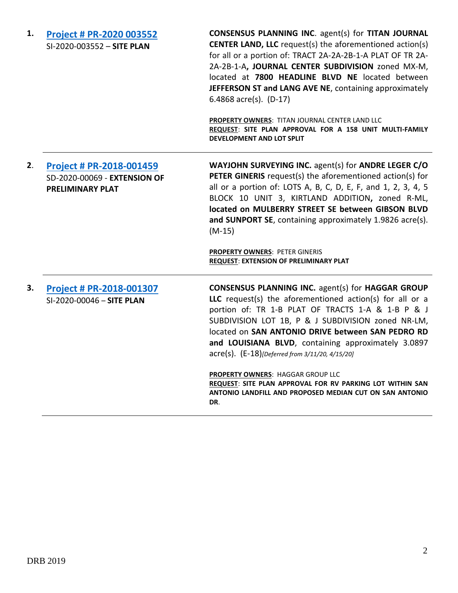| 1. | Project # PR-2020 003552<br>SI-2020-003552 - SITE PLAN                                     | <b>CONSENSUS PLANNING INC. agent(s) for TITAN JOURNAL</b><br><b>CENTER LAND, LLC</b> request(s) the aforementioned action(s)<br>for all or a portion of: TRACT 2A-2A-2B-1-A PLAT OF TR 2A-<br>2A-2B-1-A, JOURNAL CENTER SUBDIVISION zoned MX-M,<br>located at 7800 HEADLINE BLVD NE located between<br>JEFFERSON ST and LANG AVE NE, containing approximately<br>6.4868 $\arccos 0$ . (D-17)<br>PROPERTY OWNERS: TITAN JOURNAL CENTER LAND LLC<br>REQUEST: SITE PLAN APPROVAL FOR A 158 UNIT MULTI-FAMILY<br><b>DEVELOPMENT AND LOT SPLIT</b>                      |
|----|--------------------------------------------------------------------------------------------|--------------------------------------------------------------------------------------------------------------------------------------------------------------------------------------------------------------------------------------------------------------------------------------------------------------------------------------------------------------------------------------------------------------------------------------------------------------------------------------------------------------------------------------------------------------------|
| 2. | <b>Project # PR-2018-001459</b><br>SD-2020-00069 - EXTENSION OF<br><b>PRELIMINARY PLAT</b> | WAYJOHN SURVEYING INC. agent(s) for ANDRE LEGER C/O<br><b>PETER GINERIS</b> request(s) the aforementioned action(s) for<br>all or a portion of: LOTS A, B, C, D, E, F, and 1, 2, 3, 4, 5<br>BLOCK 10 UNIT 3, KIRTLAND ADDITION, zoned R-ML,<br>located on MULBERRY STREET SE between GIBSON BLVD<br>and SUNPORT SE, containing approximately 1.9826 acre(s).<br>$(M-15)$<br>PROPERTY OWNERS: PETER GINERIS<br><b>REQUEST: EXTENSION OF PRELIMINARY PLAT</b>                                                                                                        |
| З. | Project # PR-2018-001307<br>SI-2020-00046 - SITE PLAN                                      | <b>CONSENSUS PLANNING INC. agent(s) for HAGGAR GROUP</b><br>LLC request(s) the aforementioned action(s) for all or a<br>portion of: TR 1-B PLAT OF TRACTS 1-A & 1-B P & J<br>SUBDIVISION LOT 1B, P & J SUBDIVISION zoned NR-LM,<br>located on SAN ANTONIO DRIVE between SAN PEDRO RD<br>and LOUISIANA BLVD, containing approximately 3.0897<br>acre(s). (E-18)[Deferred from 3/11/20, 4/15/20]<br>PROPERTY OWNERS: HAGGAR GROUP LLC<br>REQUEST: SITE PLAN APPROVAL FOR RV PARKING LOT WITHIN SAN<br>ANTONIO LANDFILL AND PROPOSED MEDIAN CUT ON SAN ANTONIO<br>DR. |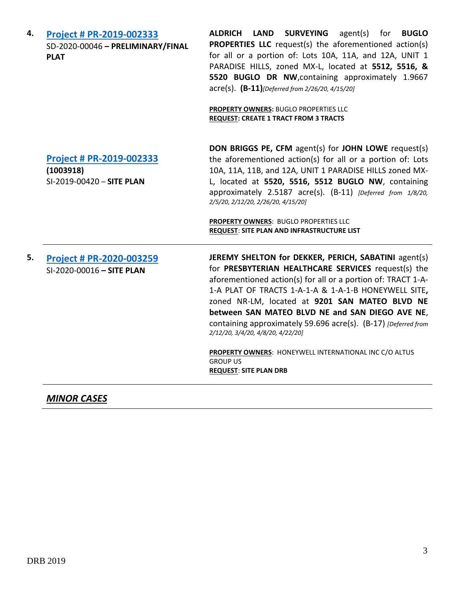**4. [Project # PR-2019-002333](http://data.cabq.gov/government/planning/DRB/PR-2019-002333/DRB%20Submittals/PR-2019-002333_(Paradise%20Hills%20on%20Buglo%20Dr.)_Feb_26_2020/Application/DRB%20Application%20-%20PR-2019-002333.pdf)** SD-2020-00046 **– PRELIMINARY/FINAL PLAT**

**ALDRICH LAND SURVEYING** agent(s) for **BUGLO PROPERTIES LLC** request(s) the aforementioned action(s) for all or a portion of: Lots 10A, 11A, and 12A, UNIT 1 PARADISE HILLS, zoned MX-L, located at **5512, 5516, & 5520 BUGLO DR NW**,containing approximately 1.9667 acre(s). **(B-11)***[Deferred from 2/26/20, 4/15/20]*

**PROPERTY OWNERS:** BUGLO PROPERTIES LLC **REQUEST: CREATE 1 TRACT FROM 3 TRACTS**

**[Project # PR-2019-002333](http://data.cabq.gov/government/planning/DRB/PR-2019-002333/DRB%20Submittals/PR-2019-002333_(Paradise%20Hills%20on%20Buglo%20Dr.)_April_15_2020_Supplemental/)**

**(1003918)** SI-2019-00420 – **SITE PLAN** **DON BRIGGS PE, CFM** agent(s) for **JOHN LOWE** request(s) the aforementioned action(s) for all or a portion of: Lots 10A, 11A, 11B, and 12A, UNIT 1 PARADISE HILLS zoned MX-L, located at **5520, 5516, 5512 BUGLO NW**, containing approximately 2.5187 acre(s). (B-11) *[Deferred from 1/8/20, 2/5/20, 2/12/20, 2/26/20, 4/15/20]*

**PROPERTY OWNERS**: BUGLO PROPERTIES LLC **REQUEST**: **SITE PLAN AND INFRASTRUCTURE LIST**

**5. [Project # PR-2020-003259](http://data.cabq.gov/government/planning/DRB/PR-2020-003259/DRB%20Submittals/PR-2020-003259_Feb_12_2020/Application/)** SI-2020-00016 **– SITE PLAN JEREMY SHELTON for DEKKER, PERICH, SABATINI** agent(s) for **PRESBYTERIAN HEALTHCARE SERVICES** request(s) the aforementioned action(s) for all or a portion of: TRACT 1-A-1-A PLAT OF TRACTS 1-A-1-A & 1-A-1-B HONEYWELL SITE**,** zoned NR-LM, located at **9201 SAN MATEO BLVD NE between SAN MATEO BLVD NE and SAN DIEGO AVE NE**, containing approximately 59.696 acre(s). (B-17) *[Deferred from 2/12/20, 3/4/20, 4/8/20, 4/22/20]* **PROPERTY OWNERS**: HONEYWELL INTERNATIONAL INC C/O ALTUS GROUP US

**REQUEST**: **SITE PLAN DRB**

*MINOR CASES*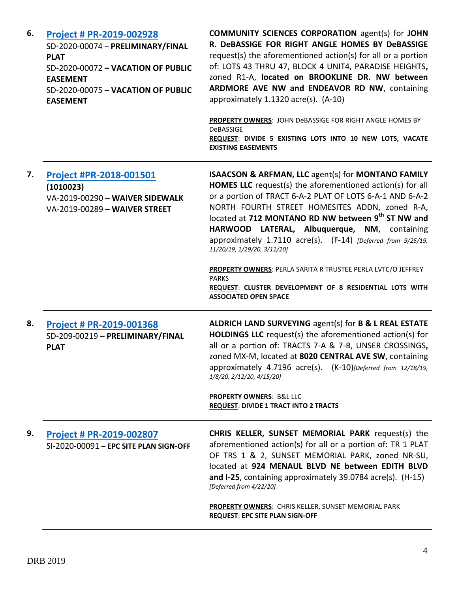| 6. | Project # PR-2019-002928<br>SD-2020-00074 - PRELIMINARY/FINAL<br><b>PLAT</b><br>SD-2020-00072 - VACATION OF PUBLIC<br><b>EASEMENT</b><br>SD-2020-00075 - VACATION OF PUBLIC<br><b>EASEMENT</b> | <b>COMMUNITY SCIENCES CORPORATION agent(s) for JOHN</b><br>R. DeBASSIGE FOR RIGHT ANGLE HOMES BY DeBASSIGE<br>request(s) the aforementioned action(s) for all or a portion<br>of: LOTS 43 THRU 47, BLOCK 4 UNIT4, PARADISE HEIGHTS,<br>zoned R1-A, located on BROOKLINE DR. NW between<br>ARDMORE AVE NW and ENDEAVOR RD NW, containing<br>approximately 1.1320 acre(s). (A-10)<br>PROPERTY OWNERS: JOHN DeBASSIGE FOR RIGHT ANGLE HOMES BY<br><b>DeBASSIGE</b><br>REQUEST: DIVIDE 5 EXISTING LOTS INTO 10 NEW LOTS, VACATE<br><b>EXISTING EASEMENTS</b> |
|----|------------------------------------------------------------------------------------------------------------------------------------------------------------------------------------------------|----------------------------------------------------------------------------------------------------------------------------------------------------------------------------------------------------------------------------------------------------------------------------------------------------------------------------------------------------------------------------------------------------------------------------------------------------------------------------------------------------------------------------------------------------------|
| 7. | Project #PR-2018-001501<br>(1010023)<br>VA-2019-00290 - WAIVER SIDEWALK<br>VA-2019-00289 - WAIVER STREET                                                                                       | <b>ISAACSON &amp; ARFMAN, LLC agent(s) for MONTANO FAMILY</b><br><b>HOMES LLC</b> request(s) the aforementioned action(s) for all<br>or a portion of TRACT 6-A-2 PLAT OF LOTS 6-A-1 AND 6-A-2<br>NORTH FOURTH STREET HOMESITES ADDN, zoned R-A,<br>located at 712 MONTANO RD NW between 9th ST NW and<br>HARWOOD LATERAL, Albuquerque, NM, containing<br>approximately 1.7110 acre(s). (F-14) [Deferred from 9/25/19,<br>11/20/19, 1/29/20, 3/11/20]                                                                                                     |
|    |                                                                                                                                                                                                | PROPERTY OWNERS: PERLA SARITA R TRUSTEE PERLA LVTC/O JEFFREY<br><b>PARKS</b><br>REQUEST: CLUSTER DEVELOPMENT OF 8 RESIDENTIAL LOTS WITH<br><b>ASSOCIATED OPEN SPACE</b>                                                                                                                                                                                                                                                                                                                                                                                  |
| 8. | <b>Project # PR-2019-001368</b><br>SD-209-00219 - PRELIMINARY/FINAL<br><b>PLAT</b>                                                                                                             | ALDRICH LAND SURVEYING agent(s) for B & L REAL ESTATE<br><b>HOLDINGS LLC</b> request(s) the aforementioned action(s) for<br>all or a portion of: TRACTS 7-A & 7-B, UNSER CROSSINGS,<br>zoned MX-M, located at 8020 CENTRAL AVE SW, containing<br>approximately $4.7196$ acre(s). $(K-10)$ [Deferred from 12/18/19,<br>1/8/20, 2/12/20, 4/15/20]<br>PROPERTY OWNERS: B&L LLC                                                                                                                                                                              |
|    |                                                                                                                                                                                                | <b>REQUEST: DIVIDE 1 TRACT INTO 2 TRACTS</b>                                                                                                                                                                                                                                                                                                                                                                                                                                                                                                             |
| 9. | Project # PR-2019-002807<br>SI-2020-00091 - EPC SITE PLAN SIGN-OFF                                                                                                                             | <b>CHRIS KELLER, SUNSET MEMORIAL PARK request(s) the</b><br>aforementioned action(s) for all or a portion of: TR 1 PLAT<br>OF TRS 1 & 2, SUNSET MEMORIAL PARK, zoned NR-SU,<br>located at 924 MENAUL BLVD NE between EDITH BLVD<br>and I-25, containing approximately 39.0784 $\arccos 1$ (H-15)<br>[Deferred from 4/22/20]<br><b>PROPERTY OWNERS: CHRIS KELLER, SUNSET MEMORIAL PARK</b><br><b>REQUEST: EPC SITE PLAN SIGN-OFF</b>                                                                                                                      |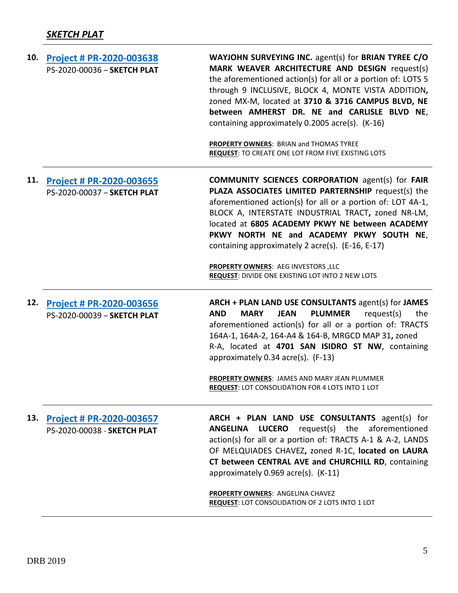| 10. | Project # PR-2020-003638<br>PS-2020-00036 - SKETCH PLAT        | WAYJOHN SURVEYING INC. agent(s) for BRIAN TYREE C/O<br>MARK WEAVER ARCHITECTURE AND DESIGN request(s)<br>the aforementioned action(s) for all or a portion of: LOTS 5<br>through 9 INCLUSIVE, BLOCK 4, MONTE VISTA ADDITION,<br>zoned MX-M, located at 3710 & 3716 CAMPUS BLVD, NE<br>between AMHERST DR. NE and CARLISLE BLVD NE,<br>containing approximately 0.2005 acre(s). (K-16)<br>PROPERTY OWNERS: BRIAN and THOMAS TYREE<br><b>REQUEST: TO CREATE ONE LOT FROM FIVE EXISTING LOTS</b> |
|-----|----------------------------------------------------------------|-----------------------------------------------------------------------------------------------------------------------------------------------------------------------------------------------------------------------------------------------------------------------------------------------------------------------------------------------------------------------------------------------------------------------------------------------------------------------------------------------|
| 11. | Project # PR-2020-003655<br>PS-2020-00037 - SKETCH PLAT        | <b>COMMUNITY SCIENCES CORPORATION agent(s) for FAIR</b><br>PLAZA ASSOCIATES LIMITED PARTERNSHIP request(s) the<br>aforementioned action(s) for all or a portion of: LOT 4A-1,<br>BLOCK A, INTERSTATE INDUSTRIAL TRACT, zoned NR-LM,<br>located at 6805 ACADEMY PKWY NE between ACADEMY<br>PKWY NORTH NE and ACADEMY PKWY SOUTH NE,<br>containing approximately 2 acre(s). (E-16, E-17)<br>PROPERTY OWNERS: AEG INVESTORS, LLC<br>REQUEST: DIVIDE ONE EXISTING LOT INTO 2 NEW LOTS             |
| 12. | Project # PR-2020-003656<br>PS-2020-00039 - SKETCH PLAT        | ARCH + PLAN LAND USE CONSULTANTS agent(s) for JAMES<br><b>PLUMMER</b><br>request(s)<br><b>AND</b><br><b>MARY</b><br><b>JEAN</b><br>the<br>aforementioned action(s) for all or a portion of: TRACTS<br>164A-1, 164A-2, 164-A4 & 164-B, MRGCD MAP 31, zoned<br>R-A, located at 4701 SAN ISIDRO ST NW, containing<br>approximately 0.34 acre(s). (F-13)<br>PROPERTY OWNERS: JAMES AND MARY JEAN PLUMMER<br>REQUEST: LOT CONSOLIDATION FOR 4 LOTS INTO 1 LOT                                      |
| 13. | <b>Project # PR-2020-003657</b><br>PS-2020-00038 - SKETCH PLAT | ARCH + PLAN LAND USE CONSULTANTS agent(s) for<br><b>LUCERO</b> request(s) the aforementioned<br><b>ANGELINA</b><br>action(s) for all or a portion of: TRACTS A-1 & A-2, LANDS<br>OF MELQUIADES CHAVEZ, zoned R-1C, located on LAURA<br>CT between CENTRAL AVE and CHURCHILL RD, containing<br>approximately 0.969 acre(s). (K-11)<br><b>PROPERTY OWNERS: ANGELINA CHAVEZ</b><br>REQUEST: LOT CONSOLIDATION OF 2 LOTS INTO 1 LOT                                                               |